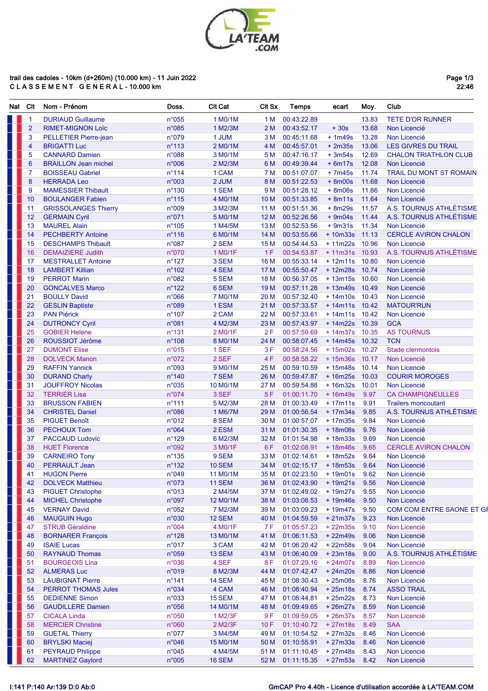

## trail des cadoles - 10km (d+260m) (10.000 km) - 11 Juin 2022<br>C L A S S E M E N T G E N E R A L - 10.000 km

Page 1/3<br>22:46

| Nat | Clt            | Nom - Prénom                                   | Doss.           | <b>CIt Cat</b>        | <b>CIt Sx</b>   | <b>Temps</b>                | ecart                  | Moy.          | Club                                     |
|-----|----------------|------------------------------------------------|-----------------|-----------------------|-----------------|-----------------------------|------------------------|---------------|------------------------------------------|
|     | $\mathbf{1}$   | <b>DURIAUD Guillaume</b>                       | n°055           | 1 M0/1M               | 1 M             | 00:43:22.89                 |                        | 13.83         | <b>TETE D'OR RUNNER</b>                  |
|     | $\overline{2}$ | <b>RIMET-MIGNON Loïc</b>                       | $n^{\circ}085$  | 1 M2/3M               | 2 M             | 00:43:52.17                 | $+30s$                 | 13.68         | Non Licencié                             |
|     | 3              | PELLETIER Pierre-jean                          | n°079           | 1 JUM                 | 3 M             | 00:45:11.68                 | $+1m49s$               | 13.28         | Non Licencié                             |
|     | 4              | <b>BRIGATTI Luc</b>                            | $n^{\circ}$ 113 | 2 M0/1M               | 4 M             | 00:45:57.01                 | $+2m35s$               | 13.06         | <b>LES GIVRES DU TRAIL</b>               |
|     | 5              | <b>CANNARD Damien</b>                          | n°088           | 3 M0/1M               | 5 M             | 00:47:16.17                 | $+3m54s$               | 12.69         | <b>CHALON TRIATHLON CLUB</b>             |
|     | 6              | <b>BRAILLON Jean michel</b>                    | n°006           | 2 M2/3M               | 6 M             | 00:49:39.44                 | $+ 6m17s$              | 12.08         | Non Licencié                             |
|     | $\overline{7}$ | <b>BOISSEAU Gabriel</b>                        | $n^{\circ}$ 114 | 1 CAM                 | 7 M             | 00:51:07.07                 | $+7m45s$               | 11.74         | TRAIL DU MONT ST ROMAIN                  |
|     | 8              | <b>HERRADA Leo</b>                             | n°003           | 2 JUM                 | 8 M             | 00:51:22.53                 | $+ 8m00s$              | 11.68         | Non Licencié                             |
|     | 9              | <b>MAMESSIER Thibault</b>                      | $n^{\circ}$ 130 | 1 SEM                 | 9 M             | 00:51:28.12                 | $+8m06s$               | 11.66         | Non Licencié                             |
|     | 10             | <b>BOULANGER Fabien</b>                        | $n^{\circ}$ 115 | 4 M0/1M               | 10 <sub>M</sub> | 00:51:33.85                 | $+ 8m11s$              | 11.64         | Non Licencié                             |
|     | 11             | <b>GRISSOLANGES Thierry</b>                    | n°009           | 3 M2/3M               | 11 M            | 00:51:51.36                 | $+8m29s$               | 11.57         | A.S. TOURNUS ATHLÉTISME                  |
|     | 12             | <b>GERMAIN Cyril</b>                           | n°071           | 5 M0/1M               | 12 M            | 00:52:26.56                 | $+9m04s$               | 11.44         | A.S. TOURNUS ATHLÉTISME                  |
|     | 13             | <b>MAUREL Alain</b>                            | $n^{\circ}$ 105 | 1 M4/5M               | 13 M            | 00:52:53.56                 | $+9m31s$               | 11.34         | Non Licencié                             |
|     | 14             | <b>PECHBERTY Antoine</b>                       | $n^{\circ}116$  | 6 M0/1M               | 14 M            | 00:53:55.66                 | $+10m33s$ 11.13        |               | <b>CERCLE AVIRON CHALON</b>              |
|     | 15             | <b>DESCHAMPS Thibault</b>                      | n°087           | 2 SEM                 | 15 M            | 00:54:44.53                 | + 11m22s 10.96         |               | Non Licencié                             |
|     | 16             | <b>DEMAIZIERE Judith</b>                       | n°070           | 1 M0/1F               | 1F              | 00:54:53.87                 | $+11m31s$ 10.93        |               | A.S. TOURNUS ATHLÉTISME                  |
|     | 17             | <b>MESTRALLET Antoine</b>                      | $n^{\circ}$ 127 | 3 SEM                 | 16 M            | 00:55:33.14                 | $+12m11s$              | 10.80         | Non Licencié                             |
|     | 18             | <b>LAMBERT Killian</b>                         | $n^{\circ}$ 102 | 4 SEM                 | 17 M            | 00:55:50.47                 | +12m28s 10.74          |               | Non Licencié                             |
|     | 19             | <b>PERROT Marin</b>                            | n°082           | 5 SEM                 | 18 M            | 00:56:37.05                 | +13m15s 10.60          |               | Non Licencié                             |
|     | 20             | <b>GONCALVES Marco</b>                         | $n^{\circ}$ 122 | 6 SEM                 | 19 <sub>M</sub> | 00:57:11.28                 | +13m49s 10.49          |               | Non Licencié                             |
|     | 21             | <b>BOULLY David</b>                            | $n^{\circ}066$  | 7 M0/1M               | 20 M            | 00:57:32.40                 | $+14m10s$ 10.43        |               | Non Licencié                             |
|     | 22             | <b>GESLIN Baptiste</b>                         | n°089           | 1 ESM                 | 21 M            | 00:57:33.57                 | $+14m11s$              | 10.42         | <b>MATOUR'RUN</b>                        |
|     | 23             | <b>PAN Piérick</b>                             | $n^{\circ}$ 107 | 2 CAM                 | 22 M            | 00:57:33.61                 | $+14m11s$ 10.42        |               | Non Licencié                             |
|     | 24             | <b>DUTRONCY Cyril</b>                          | n°081           | 4 M2/3M               | 23 M            | 00:57:43.97                 | + 14m22s 10.39         |               | <b>GCA</b>                               |
|     | 25             | <b>GOBIER Helene</b>                           | $n^{\circ}$ 131 | 2 M0/1F               | 2F              | 00:57:59.69                 | + 14m37s 10.35         |               | <b>AS TOURNUS</b>                        |
|     | 26             | ROUSSIOT Jérôme                                | $n^{\circ}$ 108 | 8 M0/1M               | 24 M            | 00:58:07.45                 | +14m45s 10.32          |               | <b>TCN</b>                               |
|     | 27             | <b>DUMONT Elise</b>                            | n°015           | 1 SEF                 | 3F              | 00:58:24.56                 | $+15m02s$              | 10.27         | Stade clermontois                        |
|     | 28             | <b>DOLVECK Manon</b>                           | n°072           | 2 SEF                 | 4F              | 00:58:58.22                 | $+15m36s$              | 10.17         | Non Licencié                             |
|     | 29             | <b>RAFFIN Yannick</b>                          | n°093           | 9 M <sub>0</sub> /1M  | 25 M            | 00:59:10.59                 | $+15m48s$              | 10.14         | Non Licencié                             |
|     | 30             | <b>DURAND Charly</b>                           | $n^{\circ}$ 140 | 7 SEM                 | 26 M            | 00:59:47.87                 | $+16m25s$              | 10.03         | <b>COURIR MOROGES</b>                    |
|     | 31<br>32       | <b>JOUFFROY Nicolas</b><br><b>TERRIER Lisa</b> | n°035<br>n°074  | 10 M0/1M<br>3 SEF     | 27 M<br>5F      | 00:59:54.88<br>01:00:11.70  | $+16m32s$<br>$+16m49s$ | 10.01<br>9.97 | Non Licencié<br><b>CA CHAMPIGNEULLES</b> |
|     | 33             | <b>BRUSSON FABIEN</b>                          | $n^{\circ}$ 111 | 5 M2/3M               | 28 M            | 01:00:33.49                 | $+17m11s$              | 9.91          | <b>Trailers moncoutant</b>               |
|     | 34             | <b>CHRISTEL Daniel</b>                         | n°086           | 1 M6/7M               | 29 M            | 01:00:56.54                 | $+17m34s$              | 9.85          | A.S. TOURNUS ATHLÉTISME                  |
|     | 35             | <b>PIGUET Benoît</b>                           | n°012           | 8 SEM                 | 30 M            | 01:00:57.07                 | $+17m35s$              | 9.84          | Non Licencié                             |
|     | 36             | <b>PECHOUX Tom</b>                             | n°064           | 2 ESM                 | 31 M            | 01:01:30.35                 | $+18m08s$              | 9.76          | Non Licencié                             |
|     | 37             | <b>PACCAUD Ludovic</b>                         | $n^{\circ}$ 129 | 6 M2/3M               | 32 M            | 01:01:54.98                 | $+18m33s$              | 9.69          | Non Licencié                             |
|     | 38             | <b>HUET Florence</b>                           | n°092           | 3 M0/1F               | 6F              | 01:02:08.91                 | $+18m46s$              | 9.65          | <b>CERCLE AVIRON CHALON</b>              |
|     | 39             | <b>CARNEIRO Tony</b>                           | $n^{\circ}$ 135 | 9 SEM                 | 33 M            | 01:02:14.61                 | $+18m52s$              | 9.64          | Non Licencié                             |
|     | 40             | <b>PERRAULT Jean</b>                           | $n^{\circ}$ 132 | <b>10 SEM</b>         | 34 M            | 01:02:15.17                 | $+18m53s$              | 9.64          | Non Licencié                             |
|     | 41             | <b>HUGON Pierre</b>                            | n°049           | 11 M0/1M              | 35 M            | 01:02:23.50                 | $+19m01s$              | 9.62          | Non Licencié                             |
|     | 42             | <b>DOLVECK Matthieu</b>                        | n°073           | <b>11 SEM</b>         | 36 M            | 01:02:43.90                 | $+19m21s$              | 9.56          | Non Licencié                             |
|     | 43             | <b>PIGUET Christophe</b>                       | n°013           | 2 M4/5M               | 37 M            | 01:02:49.02                 | $+19m27s$              | 9.55          | Non Licencié                             |
|     | 44             | <b>MICHEL Christophe</b>                       | n°097           | 12 M0/1M              | 38 M            | 01:03:08.53                 | $+19m46s$              | 9.50          | Non Licencié                             |
|     | 45             | <b>VERNAY David</b>                            | $n^{\circ}052$  | 7 M2/3M               | 39 M            | 01:03:09.23                 | $+19m47s$              | 9.50          | COM COM ENTRE SAONE ET GI                |
|     | 46             | <b>MAUGUIN Hugo</b>                            | n°030           | <b>12 SEM</b>         | 40 M            | 01:04:59.59                 | $+21m37s$              | 9.23          | Non Licencié                             |
|     | 47             | <b>STRUB Géraldine</b>                         | n°004           | 4 M0/1F               | 7 F             | 01:05:57.23                 | $+22m35s$              | 9.10          | Non Licencié                             |
|     | 48             | <b>BORNARER François</b>                       | $n^{\circ}$ 128 | 13 M <sub>0</sub> /1M | 41 M            | 01:06:11.53                 | $+22m49s$              | 9.06          | Non Licencié                             |
|     | 49             | <b>ISAIE Lucas</b>                             | n°017           | 3 CAM                 | 42 M            | 01:06:20.42                 | + 22m58s               | 9.04          | Non Licencié                             |
|     | 50             | <b>RAYNAUD Thomas</b>                          | n°059           | 13 SEM                | 43 M            | 01:06:40.09                 | $+23m18s$              | 9.00          | A.S. TOURNUS ATHLÉTISME                  |
|     | 51             | <b>BOURGEOIS Lina</b>                          | n°036           | 4 SEF                 | 8F              | 01:07:29.16                 | $+24m07s$              | 8.89          | Non Licencié                             |
|     | 52             | <b>ALMERAS Luc</b>                             | n°019           | 8 M2/3M               | 44 M            | 01:07:42.47                 | $+24m20s$              | 8.86          | Non Licencié                             |
|     | 53             | <b>LAUBIGNAT Pierre</b>                        | $n^{\circ}$ 141 | <b>14 SEM</b>         | 45 M            | 01:08:30.43                 | $+25m08s$              | 8.76          | Non Licencié                             |
|     | 54             | <b>PERROT THOMAS Jules</b>                     | n°034           | 4 CAM                 | 46 M            | 01:08:40.94                 | $+25m18s$              | 8.74          | <b>ASSO TRAIL</b>                        |
|     | 55             | <b>DEDIENNE Simon</b>                          | n°033           | <b>15 SEM</b>         | 47 M            | 01:08:44.81                 | $+25m22s$              | 8.73          | Non Licencié                             |
|     | 56             | <b>GAUDILLERE Damien</b>                       | $n^{\circ}056$  | 14 M0/1M              | 48 M            | 01:09:49.65                 | $+26m27s$              | 8.59          | Non Licencié                             |
|     | 57             | <b>CICALA Linda</b>                            | n°050           | 1 M2/3F               | 9 F             | 01:09:59.05                 | $+26m37s$              | 8.57          | Non Licencié                             |
|     | 58             | <b>MERCIER Christine</b>                       | n°060           | 2 M2/3F               | 10F             | 01:10:40.72                 | $+27m18s$              | 8.49          | <b>SAA</b>                               |
|     | 59             | <b>GUETAL Thierry</b>                          | $n^{\circ}077$  | 3 M4/5M               | 49 M            | 01:10:54.52                 | $+27m32s$              | 8.46          | Non Licencié                             |
|     | 60             | <b>BRYLSKI Maciej</b>                          | n°046           | 15 M0/1M              | 50 M            | 01:10:55.91                 | $+27m33s$              | 8.46          | Non Licencié                             |
|     | 61             | <b>PEYRAUD Philippe</b>                        | $n^{\circ}045$  | 4 M4/5M               | 51 M            | 01:11:10.45                 | $+27m48s$              | 8.43          | Non Licencié                             |
|     | 62             | <b>MARTINEZ Gavlord</b>                        | $n^{\circ}005$  | <b>16 SEM</b>         | 52 M            | $01:11:15.35 + 27m53s$ 8.42 |                        |               | Non Licencié                             |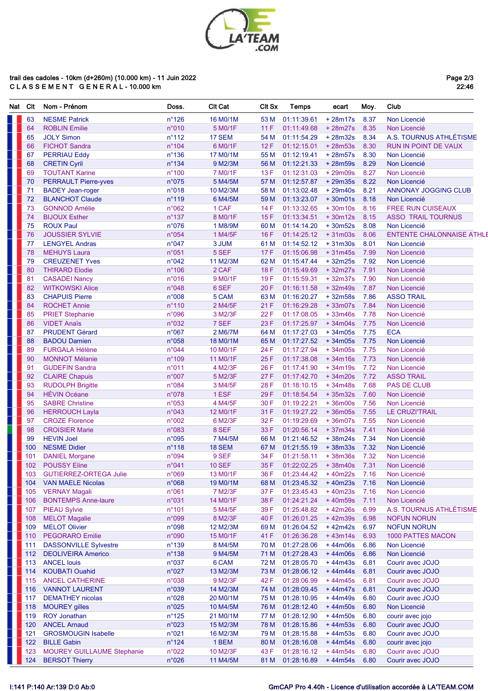

## trail des cadoles - 10km (d+260m) (10.000 km) - 11 Juin 2022<br>C L A S S E M E N T G E N E R A L - 10.000 km

Page 2/3<br>22:46

| Nat | Clt | Nom - Prénom                  | Doss.           | <b>CIt Cat</b> | <b>CIt Sx</b> | <b>Temps</b> | ecart     | Moy. | Club                             |
|-----|-----|-------------------------------|-----------------|----------------|---------------|--------------|-----------|------|----------------------------------|
|     | 63  | <b>NESME Patrick</b>          | $n^{\circ}$ 126 | 16 M0/1M       | 53 M          | 01:11:39.61  | $+28m17s$ | 8.37 | Non Licencié                     |
|     | 64  | <b>ROBLIN Emilie</b>          | n°010           | 5 M0/1F        | 11F           | 01:11:49.68  | +28m27s   | 8.35 | Non Licencié                     |
|     | 65  | <b>JOLY Simon</b>             | $n^{\circ}$ 112 | 17 SEM         | 54 M          | 01:11:54.29  | $+28m32s$ | 8.34 | A.S. TOURNUS ATHLÉTISME          |
|     | 66  | <b>FICHOT Sandra</b>          | $n^{\circ}$ 104 | 6 M0/1F        | 12F           | 01:12:15.01  | $+28m53s$ | 8.30 | <b>RUN IN POINT DE VAUX</b>      |
|     | 67  | <b>PERRIAU Eddy</b>           | $n^{\circ}$ 136 | 17 M0/1M       | 55 M          | 01:12:19.41  | $+28m57s$ | 8.30 | Non Licencié                     |
|     | 68  | <b>CRETIN Cyril</b>           | $n^{\circ}$ 134 | 9 M2/3M        | 56 M          | 01:12:21.33  | +28m59s   | 8.29 | Non Licencié                     |
|     | 69  | <b>TOUTANT Karine</b>         | $n^{\circ}$ 100 | 7 M0/1F        | 13F           | 01:12:31.03  | +29m09s   | 8.27 | Non Licencié                     |
|     | 70  | <b>PERRAULT Pierre-yves</b>   | n°075           | 5 M4/5M        | 57 M          | 01:12:57.87  | $+29m35s$ | 8.22 | Non Licencié                     |
|     | 71  | <b>BADEY Jean-roger</b>       | n°018           | 10 M2/3M       | 58 M          | 01:13:02.48  | $+29m40s$ | 8.21 | <b>ANNONAY JOGGING CLUB</b>      |
|     | 72  | <b>BLANCHOT Claude</b>        | $n^{\circ}$ 119 | 6 M4/5M        | 59 M          | 01:13:23.07  | $+30m01s$ | 8.18 | Non Licencié                     |
|     | 73  | <b>GONNOD Amélie</b>          | n°062           | 1 CAF          | 14 F          | 01:13:32.65  | $+30m10s$ | 8.16 | <b>FREE RUN CUISEAUX</b>         |
|     | 74  | <b>BIJOUX Esther</b>          | $n^{\circ}$ 137 | 8 M0/1F        | 15F           | 01:13:34.51  | $+30m12s$ | 8.15 | <b>ASSO TRAIL TOURNUS</b>        |
|     | 75  | <b>ROUX Paul</b>              | n°076           | 1 M8/9M        | 60 M          | 01:14:14.20  | $+30m52s$ | 8.08 | Non Licencié                     |
|     | 76  | <b>JOUSSIER SYLVIE</b>        | n°054           | 1 M4/5F        | 16F           | 01:14:25.12  | $+31m03s$ | 8.06 | <b>ENTENTE CHALONNAISE ATHLI</b> |
|     | 77  | <b>LENGYEL Andras</b>         | n°047           | 3 JUM          | 61 M          | 01:14:52.12  | $+31m30s$ | 8.01 | Non Licencié                     |
|     | 78  | <b>MEHUYS Laura</b>           | n°051           | 5 SEF          | 17F           | 01:15:06.98  | $+31m45s$ | 7.99 | Non Licencié                     |
|     | 79  | <b>CREUZENET Yves</b>         | n°042           | 11 M2/3M       | 62 M          | 01:15:47.44  | $+32m25s$ | 7.92 | Non Licencié                     |
|     | 80  | <b>THIRARD Elodie</b>         | $n^{\circ}$ 106 | 2 CAF          | <b>18F</b>    | 01:15:49.69  | $+32m27s$ | 7.91 | Non Licencié                     |
|     | 81  | <b>CASADEI Nancy</b>          | n°016           | 9 M0/1F        | 19F           | 01:15:59.31  | $+32m37s$ | 7.90 | Non Licencié                     |
|     | 82  | <b>WITKOWSKI Alice</b>        | n°048           | 6 SEF          | 20F           | 01:16:11.58  | $+32m49s$ | 7.87 | Non Licencié                     |
|     | 83  | <b>CHAPUIS Pierre</b>         | n°008           | 5 CAM          | 63 M          | 01:16:20.27  | $+32m58s$ | 7.86 | <b>ASSO TRAIL</b>                |
|     | 84  | <b>ROCHET Annie</b>           | $n^{\circ}$ 110 | 2 M4/5F        | 21F           | 01:16:29.28  | $+33m07s$ | 7.84 | Non Licencié                     |
|     | 85  | <b>PRIET Stephanie</b>        | n°096           | 3 M2/3F        | 22F           | 01:17:08.05  | $+33m46s$ | 7.78 | Non Licencié                     |
|     | 86  | <b>VIDET Anaïs</b>            | n°032           | 7 SEF          | 23F           | 01:17:25.97  | $+34m04s$ | 7.75 | Non Licencié                     |
|     | 87  | <b>PRUDENT Gérard</b>         | n°067           | 2 M6/7M        | 64 M          | 01:17:27.03  | $+34m05s$ | 7.75 | <b>ECA</b>                       |
|     | 88  | <b>BADOU Damien</b>           | n°058           | 18 M0/1M       | 65 M          | 01:17:27.52  | $+34m05s$ | 7.75 | Non Licencié                     |
|     | 89  | <b>FURGALA Hélène</b>         | n°044           | 10 M0/1F       | 24 F          | 01:17:27.94  | $+34m05s$ | 7.75 | Non Licencié                     |
|     | 90  | <b>MONNOT Mélanie</b>         | $n^{\circ}$ 109 | 11 M0/1F       | 25F           | 01:17:38.08  | $+34m16s$ | 7.73 | Non Licencié                     |
|     | 91  | <b>GUDEFIN Sandra</b>         | n°011           | 4 M2/3F        | 26 F          | 01:17:41.90  | $+34m19s$ | 7.72 | Non Licencié                     |
|     | 92  | <b>CLAIRE Chapuis</b>         | n°007           | 5 M2/3F        | 27F           | 01:17:42.70  | $+34m20s$ | 7.72 | <b>ASSO TRAIL</b>                |
|     | 93  | <b>RUDOLPH Brigitte</b>       | n°084           | 3 M4/5F        | 28 F          | 01:18:10.15  | $+34m48s$ | 7.68 | <b>PAS DE CLUB</b>               |
|     | 94  | <b>HÉVIN Océane</b>           | n°078           | 1 ESF          | 29F           | 01:18:54.54  | $+35m32s$ | 7.60 | Non Licencié                     |
|     | 95  | <b>SABRE Christine</b>        | n°053           | 4 M4/5F        | 30 F          | 01:19:22.21  | $+36m00s$ | 7.56 | Non Licencié                     |
|     | 96  | <b>HERROUCH Layla</b>         | n°043           | 12 M0/1F       | 31 F          | 01:19:27.22  | $+36m05s$ | 7.55 | <b>LE CRUZITRAIL</b>             |
|     | 97  | <b>CROZE Florence</b>         | n°002           | 6 M2/3F        | 32 F          | 01:19:29.69  | $+36m07s$ | 7.55 | Non Licencié                     |
|     | 98  | <b>CROISIER Marie</b>         | n°083           | 8 SEF          | 33 F          | 01:20:56.14  | $+37m34s$ | 7.41 | Non Licencié                     |
|     | 99  | <b>HEVIN Joel</b>             | n°095           | 7 M4/5M        | 66 M          | 01:21:46.52  | $+38m24s$ | 7.34 | Non Licencié                     |
|     | 100 | <b>NESME Didier</b>           | $n^{\circ}$ 118 | 18 SEM         | 67 M          | 01:21:55.19  | $+38m33s$ | 7.32 | Non Licencié                     |
|     | 101 | <b>DANIEL Morgane</b>         | n°094           | 9 SEF          | 34 F          | 01:21:58.11  | $+38m36s$ | 7.32 | Non Licencié                     |
|     | 102 | <b>POUSSY Eline</b>           | n°041           | <b>10 SEF</b>  | 35F           | 01:22:02.25  | $+38m40s$ | 7.31 | Non Licencié                     |
|     | 103 | <b>GUTIERREZ-ORTEGA Julie</b> | n°069           | 13 M0/1F       | 36 F          | 01:23:44.42  | $+40m22s$ | 7.16 | Non Licencié                     |
|     | 104 | <b>VAN MAELE Nicolas</b>      | n°068           | 19 M0/1M       | 68 M          | 01:23:45.32  | $+40m23s$ | 7.16 | Non Licencié                     |
|     | 105 | <b>VERNAY Magali</b>          | n°061           | 7 M2/3F        | 37 F          | 01:23:45.43  | $+40m23s$ | 7.16 | Non Licencié                     |
|     | 106 | <b>BONTEMPS Anne-laure</b>    | n°031           | 14 M0/1F       | 38 F          | 01:24:21.24  | +40m59s   | 7.11 | Non Licencié                     |
|     | 107 | <b>PIEAU Sylvie</b>           | $n^{\circ}$ 101 | 5 M4/5F        | 39 F          | 01:25:48.82  | $+42m26s$ | 6.99 | A.S. TOURNUS ATHLÉTISME          |
|     | 108 | <b>MELOT Magalie</b>          | n°099           | 8 M2/3F        | 40 F          | 01:26:01.25  | +42m39s   | 6.98 | <b>NOFUN NORUN</b>               |
|     | 109 | <b>MELOT Olivier</b>          | n°098           | 12 M2/3M       | 69 M          | 01:26:04.52  | $+42m42s$ | 6.97 | <b>NOFUN NORUN</b>               |
|     | 110 | <b>PEGORARO Emilie</b>        | n°090           | 15 M0/1F       | 41 F          | 01:26:36.28  | $+43m14s$ | 6.93 | 1000 PATTES MACON                |
|     | 111 | <b>DASSONVILLE Sylvestre</b>  | $n^{\circ}$ 139 | 8 M4/5M        | 70 M          | 01:27:28.06  | $+44m06s$ | 6.86 | Non Licencié                     |
|     | 112 | <b>DEOLIVEIRA Americo</b>     | $n^{\circ}$ 138 | 9 M4/5M        | 71 M          | 01:27:28.43  | $+44m06s$ | 6.86 | Non Licencié                     |
|     | 113 | <b>ANCEL louis</b>            | n°037           | 6 CAM          | 72 M          | 01:28:05.70  | $+44m43s$ | 6.81 | Courir avec JOJO                 |
|     | 114 | <b>KOUBATI Ouahid</b>         | n°027           | 13 M2/3M       | 73 M          | 01:28:06.12  | $+44m44s$ | 6.81 | Courir avec JOJO                 |
|     | 115 | <b>ANCEL CATHERINE</b>        | n°038           | 9 M2/3F        | 42F           | 01:28:06.99  | $+44m45s$ | 6.81 | Courir avec JOJO                 |
|     | 116 | <b>VANNOT LAURENT</b>         | n°039           | 14 M2/3M       | 74 M          | 01:28:09.45  | $+44m47s$ | 6.81 | Courir avec JOJO                 |
|     | 117 | <b>DEMATHEY</b> nicolas       | n°028           | 20 M0/1M       | 75 M          | 01:28:10.95  | $+44m49s$ | 6.80 | Courir avec JOJO                 |
|     | 118 | <b>MOUREY gilles</b>          | n°025           | 10 M4/5M       | 76 M          | 01:28:12.40  | $+44m50s$ | 6.80 | Non Licencié                     |
|     | 119 | <b>ROY Jonathan</b>           | $n^{\circ}$ 125 | 21 M0/1M       | 77 M          | 01:28:12.90  | $+44m50s$ | 6.80 | courir avec jojo                 |
|     | 120 | <b>ANCEL Arnaud</b>           | n°023           | 15 M2/3M       | 78 M          | 01:28:15.86  | $+44m53s$ | 6.80 | Courir avec JOJO                 |
|     | 121 | <b>GROSMOUGIN Isabelle</b>    | n°021           | 16 M2/3M       | 79 M          | 01:28:15.88  | $+44m53s$ | 6.80 | Courir avec JOJO                 |
|     | 122 | <b>BILLE Gabin</b>            | $n^{\circ}$ 124 | 1 BEM          | 80 M          | 01:28:16.08  | $+44m54s$ | 6.80 | courir avec jojo                 |
|     | 123 | MOUREY GUILLAUME Stephanie    | n°022           | 10 M2/3F       | 43 F          | 01:28:16.12  | $+44m54s$ | 6.80 | Courir avec JOJO                 |
|     |     | <b>BERSOT Thierry</b>         | n°026           |                |               |              |           |      |                                  |
|     | 124 |                               |                 | 11 M4/5M       | 81 M          | 01:28:16.89  | $+44m54s$ | 6.80 | Courir avec JOJO                 |